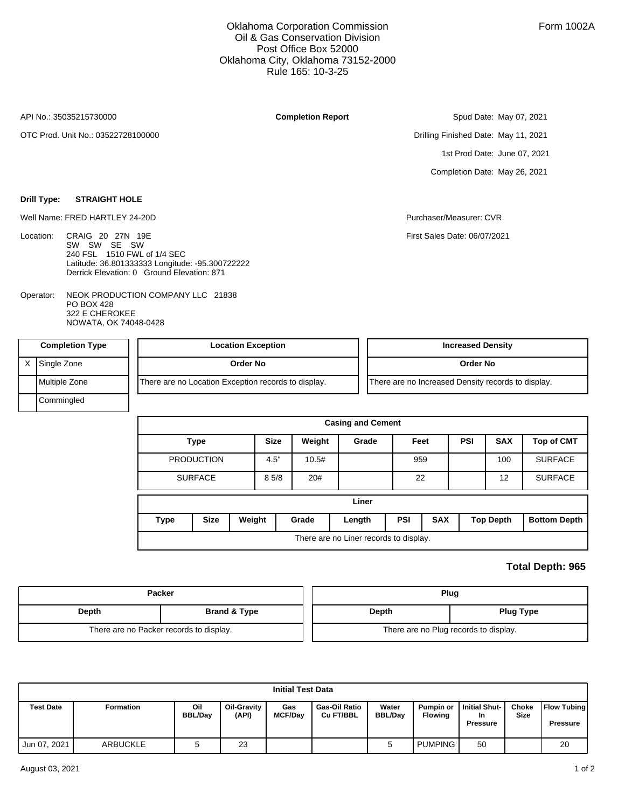## Oklahoma Corporation Commission Oil & Gas Conservation Division Post Office Box 52000 Oklahoma City, Oklahoma 73152-2000 Rule 165: 10-3-25

API No.: 35035215730000

Location:

OTC Prod. Unit No.: 03522728100000

**Drill Type: STRAIGHT HOLE**

## **Completion Report**

Drilling Finished Date: May 11, 2021 1st Prod Date: June 07, 2021 Completion Date: May 26, 2021

Spud Date: May 07, 2021

Well Name: FRED HARTLEY 24-20D **Purchaser/Measurer: CVR** Purchaser/Measurer: CVR

First Sales Date: 06/07/2021

NEOK PRODUCTION COMPANY LLC 21838 PO BOX 428 322 E CHEROKEE NOWATA, OK 74048-0428 Operator:

240 FSL 1510 FWL of 1/4 SEC

Latitude: 36.801333333 Longitude: -95.300722222 Derrick Elevation: 0 Ground Elevation: 871

CRAIG 20 27N 19E SW SW SE SW

| <b>Completion Type</b> | <b>Location Exception</b>                           | <b>Increased Density</b>                           |
|------------------------|-----------------------------------------------------|----------------------------------------------------|
| Single Zone            | Order No                                            | Order No                                           |
| Multiple Zone          | There are no Location Exception records to display. | There are no Increased Density records to display. |
| Commingled             |                                                     |                                                    |

|                |                   |        |             |        | <b>Casing and Cement</b>               |            |            |            |                  |                     |
|----------------|-------------------|--------|-------------|--------|----------------------------------------|------------|------------|------------|------------------|---------------------|
|                | <b>Type</b>       |        | <b>Size</b> | Weight | Grade                                  | Feet       |            | <b>PSI</b> | <b>SAX</b>       | <b>Top of CMT</b>   |
|                | <b>PRODUCTION</b> |        | 4.5"        | 10.5#  |                                        | 959        |            |            | 100              | <b>SURFACE</b>      |
| <b>SURFACE</b> |                   | 85/8   | 20#         |        | 22                                     |            |            | 12         | <b>SURFACE</b>   |                     |
|                |                   |        |             |        | Liner                                  |            |            |            |                  |                     |
| <b>Type</b>    | <b>Size</b>       | Weight |             | Grade  | Length                                 | <b>PSI</b> | <b>SAX</b> |            | <b>Top Depth</b> | <b>Bottom Depth</b> |
|                |                   |        |             |        | There are no Liner records to display. |            |            |            |                  |                     |

## **Total Depth: 965**

|       | Packer                                  | Plug  |                                       |  |  |
|-------|-----------------------------------------|-------|---------------------------------------|--|--|
| Depth | <b>Brand &amp; Type</b>                 | Depth | <b>Plug Type</b>                      |  |  |
|       | There are no Packer records to display. |       | There are no Plug records to display. |  |  |

|                  |                  |                       |                      | <b>Initial Test Data</b> |                                   |                         |                                    |                                               |                      |                                       |
|------------------|------------------|-----------------------|----------------------|--------------------------|-----------------------------------|-------------------------|------------------------------------|-----------------------------------------------|----------------------|---------------------------------------|
| <b>Test Date</b> | <b>Formation</b> | Oil<br><b>BBL/Dav</b> | Oil-Gravity<br>(API) | Gas<br><b>MCF/Day</b>    | <b>Gas-Oil Ratio</b><br>Cu FT/BBL | Water<br><b>BBL/Dav</b> | <b>Pumpin or</b><br><b>Flowing</b> | <b>Initial Shut-</b><br>In<br><b>Pressure</b> | Choke<br><b>Size</b> | <b>Flow Tubing</b><br><b>Pressure</b> |
| Jun 07, 2021     | ARBUCKLE         |                       | 23                   |                          |                                   |                         | <b>PUMPING</b>                     | 50                                            |                      | 20                                    |